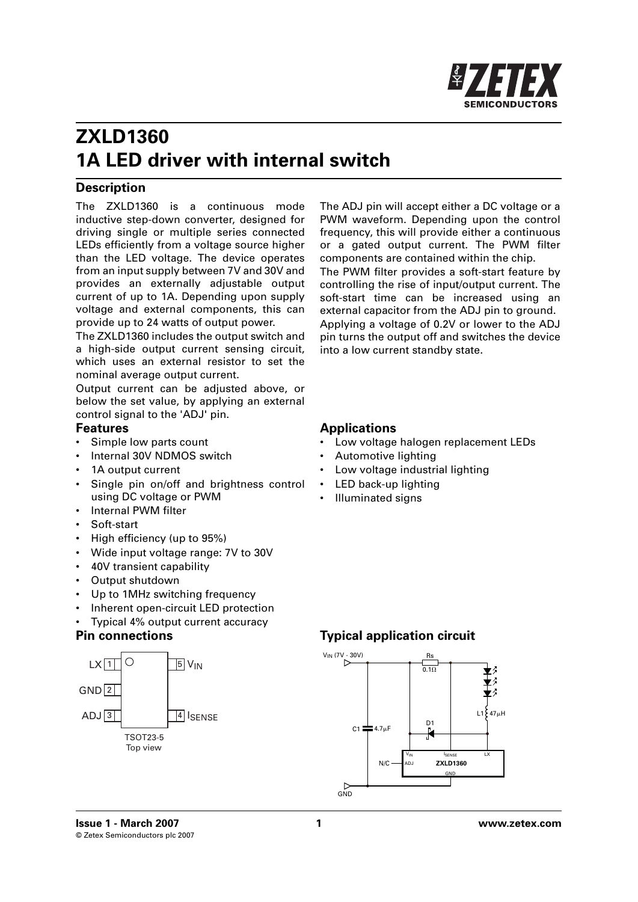

### **ZXLD1360 1A LED driver with internal switch**

### **Description**

The ZXLD1360 is a continuous mode inductive step-down converter, designed for driving single or multiple series connected LEDs efficiently from a voltage source higher than the LED voltage. The device operates from an input supply between 7V and 30V and provides an externally adjustable output current of up to 1A. Depending upon supply voltage and external components, this can provide up to 24 watts of output power.

The ZXLD1360 includes the output switch and a high-side output current sensing circuit, which uses an external resistor to set the nominal average output current.

Output current can be adjusted above, or below the set value, by applying an external control signal to the 'ADJ' pin.

#### **Features**

- Simple low parts count
- Internal 30V NDMOS switch
- 1A output current
- Single pin on/off and brightness control using DC voltage or PWM
- Internal PWM filter
- Soft-start
- High efficiency (up to 95%)
- Wide input voltage range: 7V to 30V
- 40V transient capability
- Output shutdown
- Up to 1MHz switching frequency
- Inherent open-circuit LED protection
- Typical 4% output current accuracy



The ADJ pin will accept either a DC voltage or a PWM waveform. Depending upon the control frequency, this will provide either a continuous or a gated output current. The PWM filter components are contained within the chip. The PWM filter provides a soft-start feature by controlling the rise of input/output current. The soft-start time can be increased using an external capacitor from the ADJ pin to ground. Applying a voltage of 0.2V or lower to the ADJ pin turns the output off and switches the device into a low current standby state.

#### **Applications**

- Low voltage halogen replacement LEDs
- Automotive lighting
- Low voltage industrial lighting
- LED back-up lighting
- Illuminated signs

#### **Pin connections Typical application circuit**

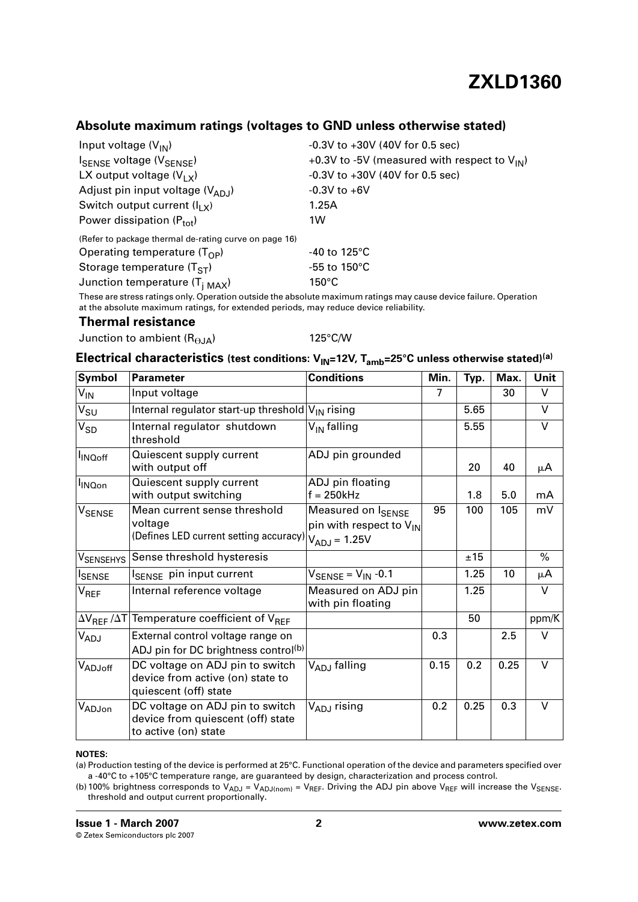### **Absolute maximum ratings (voltages to GND unless otherwise stated)**

| Input voltage $(V_{IN})$                              | $-0.3V$ to $+30V$ (40V for 0.5 sec)                                                                              |
|-------------------------------------------------------|------------------------------------------------------------------------------------------------------------------|
| $I_{\text{SFNSF}}$ voltage ( $V_{\text{SFNSF}}$ )     | +0.3V to -5V (measured with respect to $V_{IN}$ )                                                                |
| LX output voltage $(V_{1}x)$                          | $-0.3V$ to $+30V$ (40V for 0.5 sec)                                                                              |
| Adjust pin input voltage $(V_{AD,I})$                 | $-0.3V$ to $+6V$                                                                                                 |
| Switch output current $(I_{1} x)$                     | 1.25A                                                                                                            |
| Power dissipation $(P_{tot})$                         | 1W                                                                                                               |
| (Refer to package thermal de-rating curve on page 16) |                                                                                                                  |
| Operating temperature $(T_{OP})$                      | -40 to 125 $^{\circ}$ C                                                                                          |
| Storage temperature $(TST)$                           | -55 to 150 $^{\circ}$ C                                                                                          |
| Junction temperature $(T_{i MAX})$                    | $150^{\circ}$ C                                                                                                  |
|                                                       | These are stress ratings only Operation outside the absolute maximum ratings may equal device foilure. Operation |

These are stress ratings only. Operation outside the absolute maximum ratings may cause device failure. Operation at the absolute maximum ratings, for extended periods, may reduce device reliability.

#### **Thermal resistance**

Junction to ambient  $(R_{AIA})$  125°C/W

### Electrical characteristics (test conditions: V<sub>IN</sub>=12V, T<sub>amb</sub>=25°C unless otherwise stated)<sup>(a)</sup>

| Symbol                    | <b>Parameter</b>                                                                                    | <b>Conditions</b>                                         | Min. | Typ. | Max. | Unit                    |
|---------------------------|-----------------------------------------------------------------------------------------------------|-----------------------------------------------------------|------|------|------|-------------------------|
| $V_{IN}$                  | Input voltage                                                                                       |                                                           | 7    |      | 30   | V                       |
| $\bar{V}_{\textrm{SU}}$   | Internal regulator start-up threshold $V_{IN}$ rising                                               |                                                           |      | 5.65 |      | $\overline{\mathsf{V}}$ |
| $V_{SD}$                  | Internal regulator shutdown<br>threshold                                                            | V <sub>IN</sub> falling                                   |      | 5.55 |      | V                       |
| <b>INQoff</b>             | Quiescent supply current<br>with output off                                                         | ADJ pin grounded                                          |      | 20   | 40   | μA                      |
| <b>I</b> INQon            | Quiescent supply current<br>with output switching                                                   | ADJ pin floating<br>$f = 250kHz$                          |      | 1.8  | 5.0  | mA                      |
| V <sub>SENSE</sub>        | Mean current sense threshold<br>voltage<br>(Defines LED current setting accuracy) $V_{ADJ} = 1.25V$ | Measured on ISENSE<br>pin with respect to $V_{\text{IN}}$ | 95   | 100  | 105  | mV                      |
| VSENSEHYS                 | Sense threshold hysteresis                                                                          |                                                           |      | ±15  |      | %                       |
| <b>I</b> SENSE            | I <sub>SENSE</sub> pin input current                                                                | $V_{\text{SENSE}} = V_{\text{IN}} -0.1$                   |      | 1.25 | 10   | $\mu$ A                 |
| $V_{REF}$                 | Internal reference voltage                                                                          | Measured on ADJ pin<br>with pin floating                  |      | 1.25 |      | V                       |
| $\Delta V_{REF}/\Delta T$ | Temperature coefficient of V <sub>RFF</sub>                                                         |                                                           |      | 50   |      | ppm/K                   |
| V <sub>ADJ</sub>          | External control voltage range on<br>ADJ pin for DC brightness control <sup>(b)</sup>               |                                                           | 0.3  |      | 2.5  | V                       |
| VADJoff                   | DC voltage on ADJ pin to switch<br>device from active (on) state to<br>quiescent (off) state        | V <sub>ADJ</sub> falling                                  | 0.15 | 0.2  | 0.25 | $\overline{\vee}$       |
| VADJon                    | DC voltage on ADJ pin to switch<br>device from quiescent (off) state<br>to active (on) state        | V <sub>ADJ</sub> rising                                   | 0.2  | 0.25 | 0.3  | $\vee$                  |

**NOTES:**

<span id="page-1-0"></span>(a) Production testing of the device is performed at 25°C. Functional operation of the device and parameters specified over a -40°C to +105°C temperature range, are guaranteed by design, characterization and process control.

<span id="page-1-1"></span>(b) 100% brightness corresponds to  $V_{ADJ} = V_{ADJ(nom)} = V_{REF}$ . Driving the ADJ pin above  $V_{REF}$  will increase the  $V_{SENSE}$ . threshold and output current proportionally.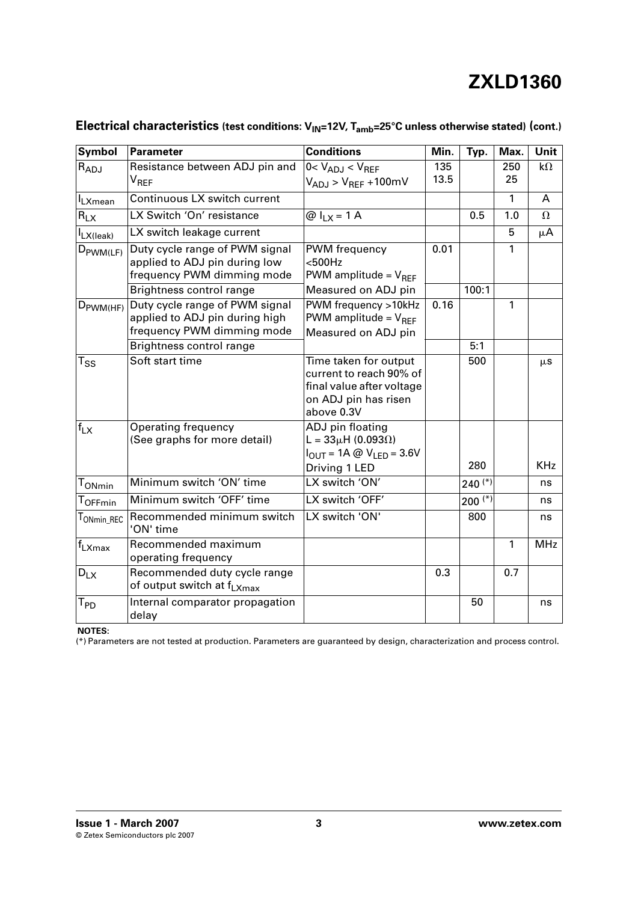| Symbol                          | Parameter                                                              | <b>Conditions</b>                                      | Min. | Typ.                 | Max.         | <b>Unit</b> |
|---------------------------------|------------------------------------------------------------------------|--------------------------------------------------------|------|----------------------|--------------|-------------|
| $\bar{\mathsf{R}}_\mathsf{ADJ}$ | Resistance between ADJ pin and                                         | $0 < V_{ADJ} < V_{REF}$                                | 135  |                      | 250          | $k\Omega$   |
|                                 | V <sub>REF</sub>                                                       | $V_{ADJ}$ > $V_{REF}$ +100mV                           | 13.5 |                      | 25           |             |
| I <sub>LXmean</sub>             | Continuous LX switch current                                           |                                                        |      |                      | 1            | A           |
| $R_{LX}$                        | LX Switch 'On' resistance                                              | $@I_{LX} = 1 A$                                        |      | 0.5                  | 1.0          | $\Omega$    |
| ILX(leak)                       | LX switch leakage current                                              |                                                        |      |                      | 5            | μA          |
| D <sub>PWM(LF)</sub>            | Duty cycle range of PWM signal                                         | PWM frequency                                          | 0.01 |                      | $\mathbf{1}$ |             |
|                                 | applied to ADJ pin during low                                          | $500Hz$                                                |      |                      |              |             |
|                                 | frequency PWM dimming mode                                             | PWM amplitude = $V_{REF}$                              |      |                      |              |             |
|                                 | Brightness control range                                               | Measured on ADJ pin                                    |      | 100:1                |              |             |
| D <sub>PWM(HF)</sub>            | Duty cycle range of PWM signal                                         | PWM frequency >10kHz                                   | 0.16 |                      | 1            |             |
|                                 | applied to ADJ pin during high<br>frequency PWM dimming mode           | PWM amplitude = $V_{REF}$                              |      |                      |              |             |
|                                 | Brightness control range                                               | Measured on ADJ pin                                    |      | 5:1                  |              |             |
|                                 |                                                                        |                                                        |      |                      |              |             |
| $T_{SS}$                        | Soft start time                                                        | Time taken for output<br>current to reach 90% of       |      | 500                  |              | μS          |
|                                 |                                                                        | final value after voltage                              |      |                      |              |             |
|                                 |                                                                        | on ADJ pin has risen                                   |      |                      |              |             |
|                                 |                                                                        | above 0.3V                                             |      |                      |              |             |
| $f_{LX}$                        | Operating frequency                                                    | ADJ pin floating                                       |      |                      |              |             |
|                                 | (See graphs for more detail)                                           | L = $33\mu$ H (0.093 $\Omega$ )                        |      |                      |              |             |
|                                 |                                                                        | $I_{\text{OUT}} = 1A \text{ @ } V_{\text{LED}} = 3.6V$ |      |                      |              |             |
|                                 |                                                                        | Driving 1 LED                                          |      | 280                  |              | <b>KHz</b>  |
| T <sub>ONmin</sub>              | Minimum switch 'ON' time                                               | LX switch 'ON'                                         |      | $240$ <sup>(*)</sup> |              | ns          |
| T <sub>OFFmin</sub>             | Minimum switch 'OFF' time                                              | LX switch 'OFF'                                        |      | $200$ (*)            |              | ns          |
| T <sub>ONmin_REC</sub>          | Recommended minimum switch<br>'ON' time                                | LX switch 'ON'                                         |      | 800                  |              | ns          |
| $f_{LXmax}$                     | Recommended maximum<br>operating frequency                             |                                                        |      |                      | $\mathbf{1}$ | <b>MHz</b>  |
| $D_{LX}$                        | Recommended duty cycle range<br>of output switch at f <sub>LXmax</sub> |                                                        | 0.3  |                      | 0.7          |             |
| T <sub>PD</sub>                 | Internal comparator propagation<br>delay                               |                                                        |      | 50                   |              | ns          |

### Electrical characteristics (test conditions: V<sub>IN</sub>=12V, T<sub>amb</sub>=25°C unless otherwise stated) (cont.)

**NOTES:**

<span id="page-2-0"></span>(\*) Parameters are not tested at production. Parameters are guaranteed by design, characterization and process control.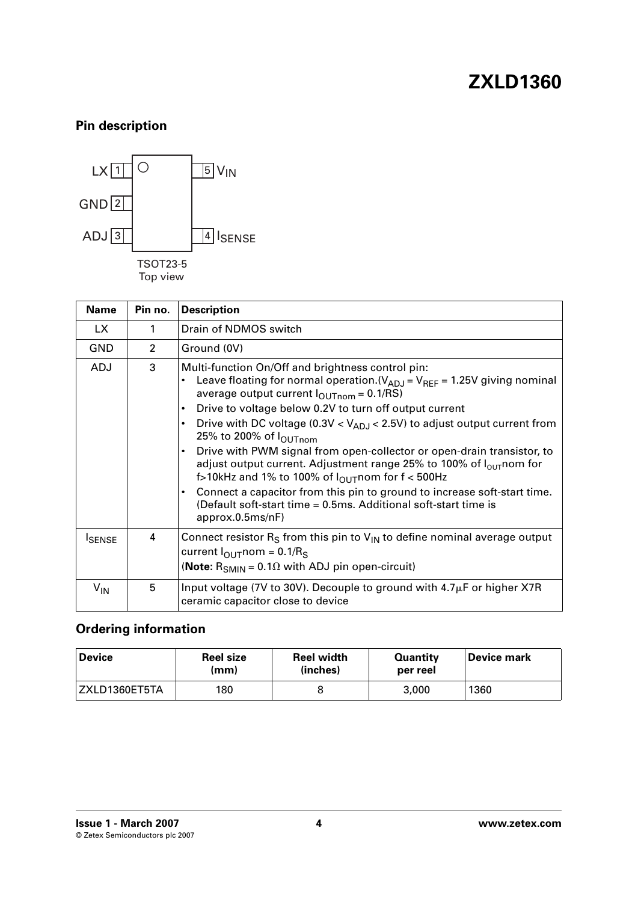### **Pin description**



| <b>Name</b>    | Pin no.        | <b>Description</b>                                                                                                                                                                                                                                                                                                                                                                                                                                                                                                                                                                                                                                                                                                                                                                                                            |
|----------------|----------------|-------------------------------------------------------------------------------------------------------------------------------------------------------------------------------------------------------------------------------------------------------------------------------------------------------------------------------------------------------------------------------------------------------------------------------------------------------------------------------------------------------------------------------------------------------------------------------------------------------------------------------------------------------------------------------------------------------------------------------------------------------------------------------------------------------------------------------|
| LX.            | 1              | Drain of NDMOS switch                                                                                                                                                                                                                                                                                                                                                                                                                                                                                                                                                                                                                                                                                                                                                                                                         |
| <b>GND</b>     | $\overline{2}$ | Ground (0V)                                                                                                                                                                                                                                                                                                                                                                                                                                                                                                                                                                                                                                                                                                                                                                                                                   |
| <b>ADJ</b>     | 3              | Multi-function On/Off and brightness control pin:<br>Leave floating for normal operation. $(V_{ADJ} = V_{REF} = 1.25V$ giving nominal<br>average output current $I_{\text{OUTnom}} = 0.1/\text{RS}$ )<br>Drive to voltage below 0.2V to turn off output current<br>$\bullet$<br>Drive with DC voltage (0.3V < $V_{ADJ}$ < 2.5V) to adjust output current from<br>25% to 200% of $I_{\text{OUTnom}}$<br>Drive with PWM signal from open-collector or open-drain transistor, to<br>$\bullet$<br>adjust output current. Adjustment range 25% to 100% of $I_{\text{OUT}}$ nom for<br>f>10kHz and 1% to 100% of $I_{\text{OUT}}$ nom for f < 500Hz<br>Connect a capacitor from this pin to ground to increase soft-start time.<br>$\bullet$<br>(Default soft-start time = 0.5ms. Additional soft-start time is<br>approx.0.5ms/nF) |
| <b>I</b> SENSE | 4              | Connect resistor $R_S$ from this pin to $V_{IN}$ to define nominal average output<br>current $I_{\text{OUT}}$ nom = 0.1/R <sub>S</sub><br>(Note: $R_{SMIN} = 0.1\Omega$ with ADJ pin open-circuit)                                                                                                                                                                                                                                                                                                                                                                                                                                                                                                                                                                                                                            |
| $V_{IN}$       | 5              | Input voltage (7V to 30V). Decouple to ground with $4.7\mu$ F or higher X7R<br>ceramic capacitor close to device                                                                                                                                                                                                                                                                                                                                                                                                                                                                                                                                                                                                                                                                                                              |

### **Ordering information**

| l Device      | <b>Reel size</b><br>(mm) | <b>Reel width</b><br>(inches) | <b>Quantity</b><br>per reel | Device mark |
|---------------|--------------------------|-------------------------------|-----------------------------|-------------|
| ZXLD1360ET5TA | 180                      |                               | 3,000                       | 1360        |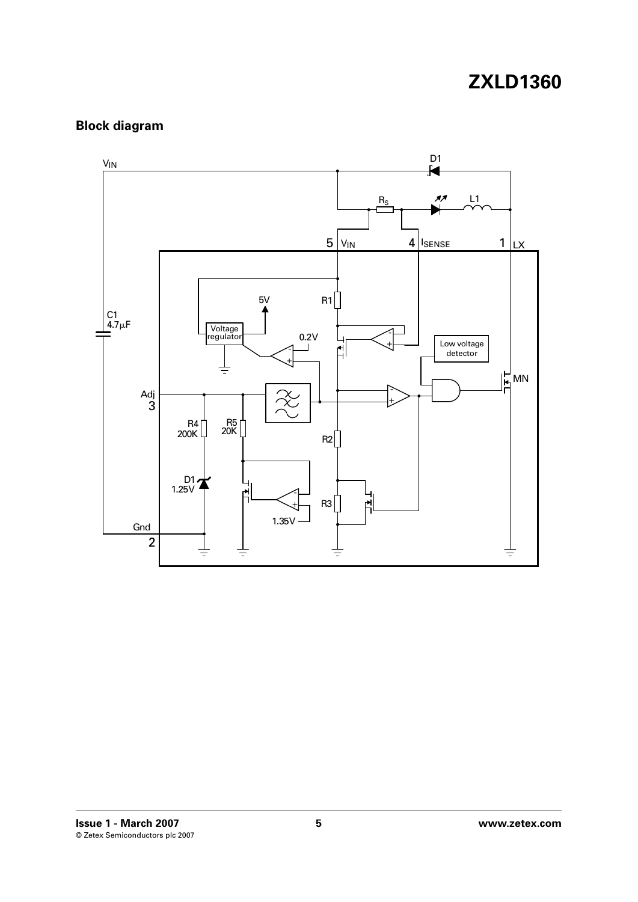### **Block diagram**

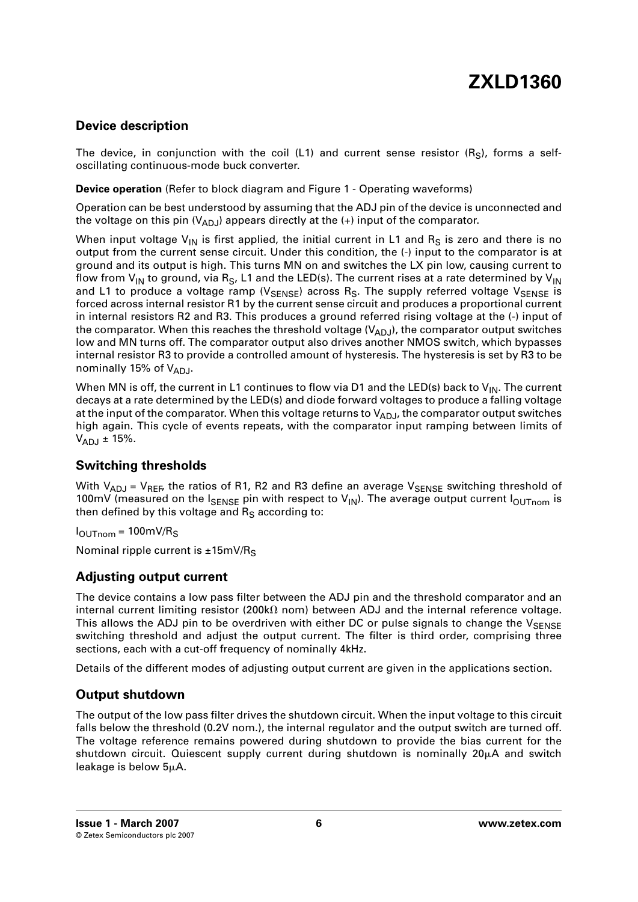### **Device description**

The device, in conjunction with the coil (L1) and current sense resistor  $(R<sub>S</sub>)$ , forms a selfoscillating continuous-mode buck converter.

**Device operation** (Refer to block diagram and Figure 1 - Operating waveforms)

Operation can be best understood by assuming that the ADJ pin of the device is unconnected and the voltage on this pin  $(V_{AD,I})$  appears directly at the  $(+)$  input of the comparator.

When input voltage  $V_{IN}$  is first applied, the initial current in L1 and R<sub>S</sub> is zero and there is no output from the current sense circuit. Under this condition, the (-) input to the comparator is at ground and its output is high. This turns MN on and switches the LX pin low, causing current to flow from  $V_{IN}$  to ground, via R<sub>S</sub>, L1 and the LED(s). The current rises at a rate determined by  $V_{IN}$ and L1 to produce a voltage ramp ( $V_{\text{SENSE}}$ ) across R<sub>S</sub>. The supply referred voltage  $V_{\text{SENSE}}$  is forced across internal resistor R1 by the current sense circuit and produces a proportional current in internal resistors R2 and R3. This produces a ground referred rising voltage at the (-) input of the comparator. When this reaches the threshold voltage  $(V_{AD,I})$ , the comparator output switches low and MN turns off. The comparator output also drives another NMOS switch, which bypasses internal resistor R3 to provide a controlled amount of hysteresis. The hysteresis is set by R3 to be nominally 15% of  $V_{AD,J}$ .

When MN is off, the current in L1 continues to flow via D1 and the LED(s) back to  $V_{IN}$ . The current decays at a rate determined by the LED(s) and diode forward voltages to produce a falling voltage at the input of the comparator. When this voltage returns to  $V_{ADJ}$ , the comparator output switches high again. This cycle of events repeats, with the comparator input ramping between limits of  $V_{AD,1}$  ± 15%.

### **Switching thresholds**

With  $V_{ADJ}$  =  $V_{REF}$  the ratios of R1, R2 and R3 define an average  $V_{SENSE}$  switching threshold of 100mV (measured on the  $I_{SENSE}$  pin with respect to  $V_{IN}$ ). The average output current  $I_{OUTnom}$  is then defined by this voltage and  $R<sub>S</sub>$  according to:

 $I_{\text{OUTnom}} = 100 \text{mV/R}_\text{S}$ 

Nominal ripple current is  $\pm 15$ mV/R<sub>S</sub>

### **Adjusting output current**

The device contains a low pass filter between the ADJ pin and the threshold comparator and an internal current limiting resistor (200k $\Omega$  nom) between ADJ and the internal reference voltage. This allows the ADJ pin to be overdriven with either DC or pulse signals to change the  $V_{\text{SFNSF}}$ switching threshold and adjust the output current. The filter is third order, comprising three sections, each with a cut-off frequency of nominally 4kHz.

Details of the different modes of adjusting output current are given in the applications section.

### **Output shutdown**

The output of the low pass filter drives the shutdown circuit. When the input voltage to this circuit falls below the threshold (0.2V nom.), the internal regulator and the output switch are turned off. The voltage reference remains powered during shutdown to provide the bias current for the shutdown circuit. Quiescent supply current during shutdown is nominally  $20\mu A$  and switch leakage is below  $5\mu$ A.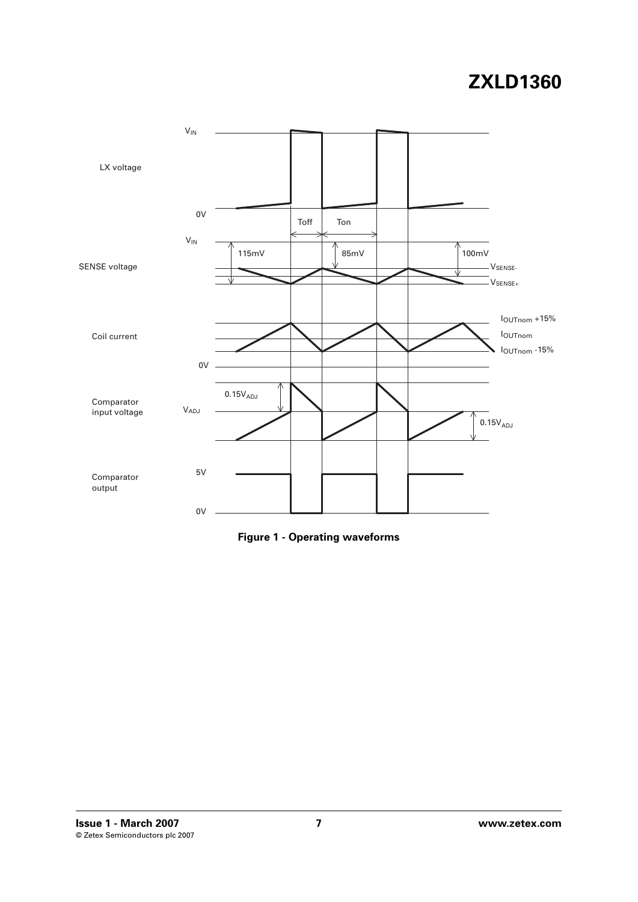

**Figure 1 - Operating waveforms**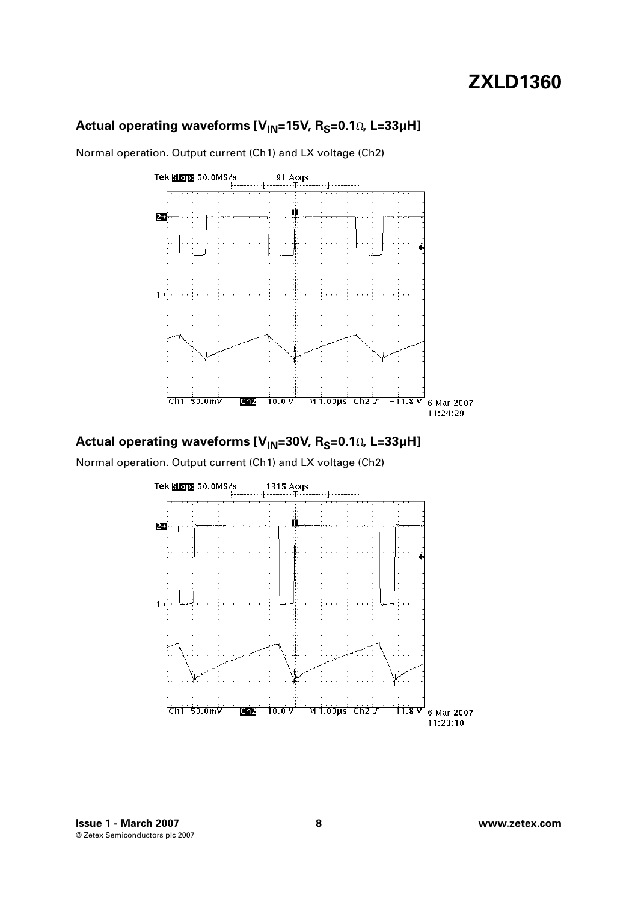### **Actual operating waveforms [V<sub>IN</sub>=15V, R<sub>S</sub>=0.1**Ω, L=33μH]



Normal operation. Output current (Ch1) and LX voltage (Ch2)

### **Actual operating waveforms [V<sub>IN</sub>=30V, R<sub>S</sub>=0.1** $\Omega$ **, L=33µH]**

Normal operation. Output current (Ch1) and LX voltage (Ch2)

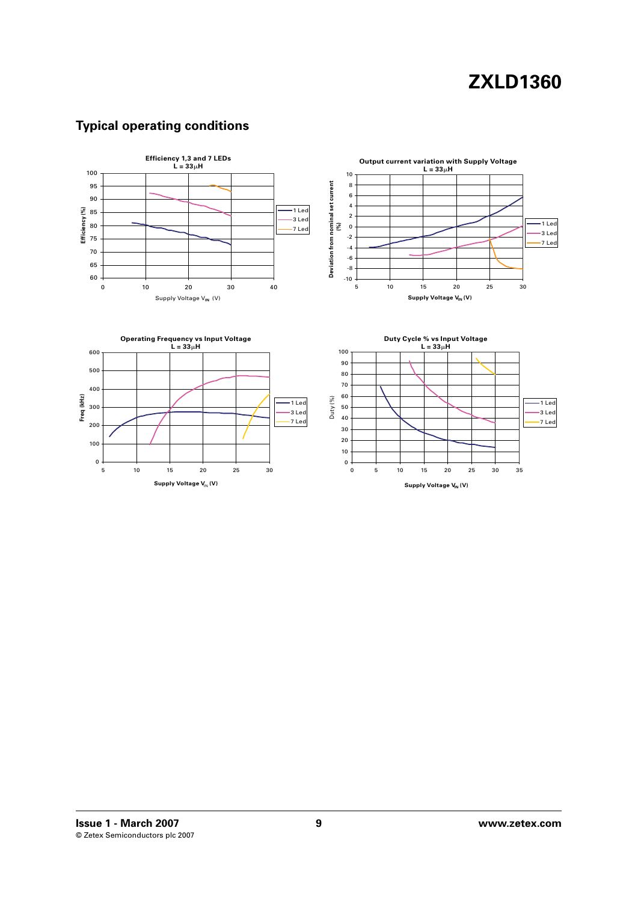$-1$  Led  $-3$  Led 7 Led

#### **Efficiency 1,3 and 7 LEDs L = 33H** 60 65 70 75 80 85 90 95 100 0 10 20 30 40 Supply Voltage V<sub>IN</sub> (V) **Efficiency (%)**  $-1$  Led 3 Led 7 Led **Output current variation with Supply Voltage L = 33H**  $-10 -$ -8 -6 -4 -2 0 2 4 6 8 10 5 10 15 20 25 30 **Supply Voltage V<sub>IN</sub> (V) Deviation from nominal set current**  Deviation from nominal set current<br>(%) **Operating Frequency vs Input Voltage L = 33H Duty Cycle % vs Input Voltage L = 33H**



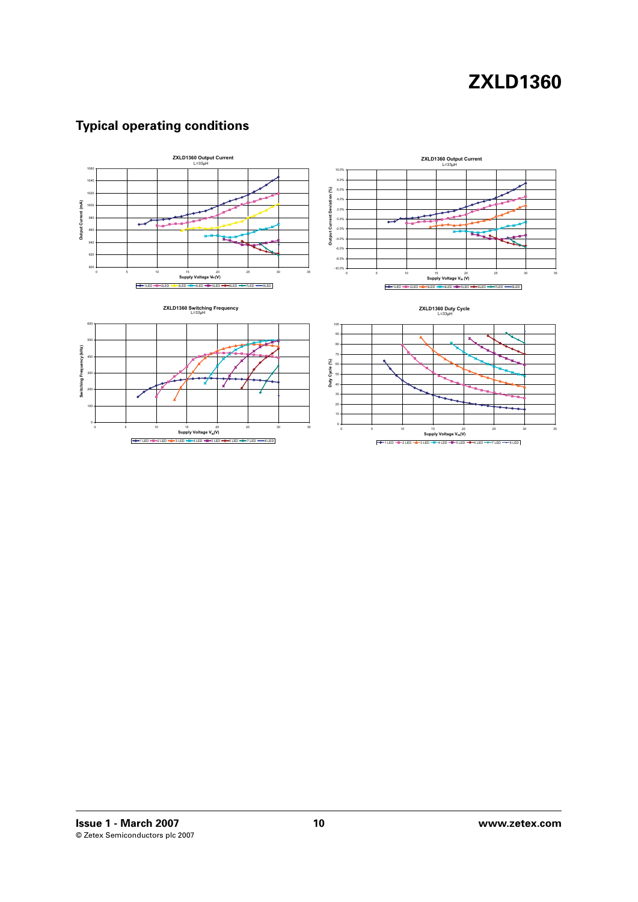$-$  1 LED  $-$  2 LED  $-$  3 LED  $+$  -4 LED  $+$  5 LED  $-$  6 LED  $-$  7 LED  $-$  8 LED

### **Typical operating conditions**

1 LED 3 2 LED 3 LED 3 LED 3 LED 3 LED 3 LED 3 LED 3 LED 3 LED 3 LED 3 LED 3 LED

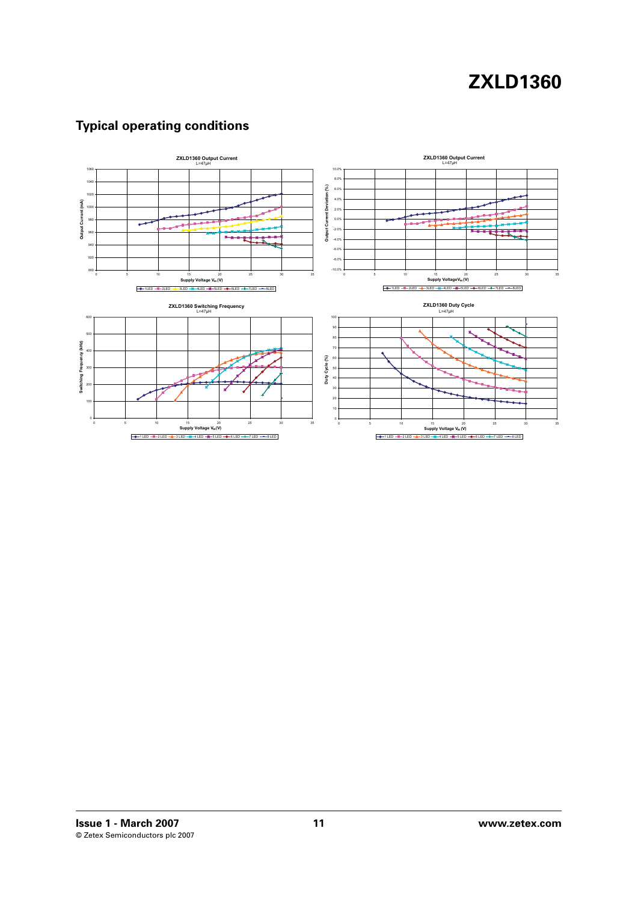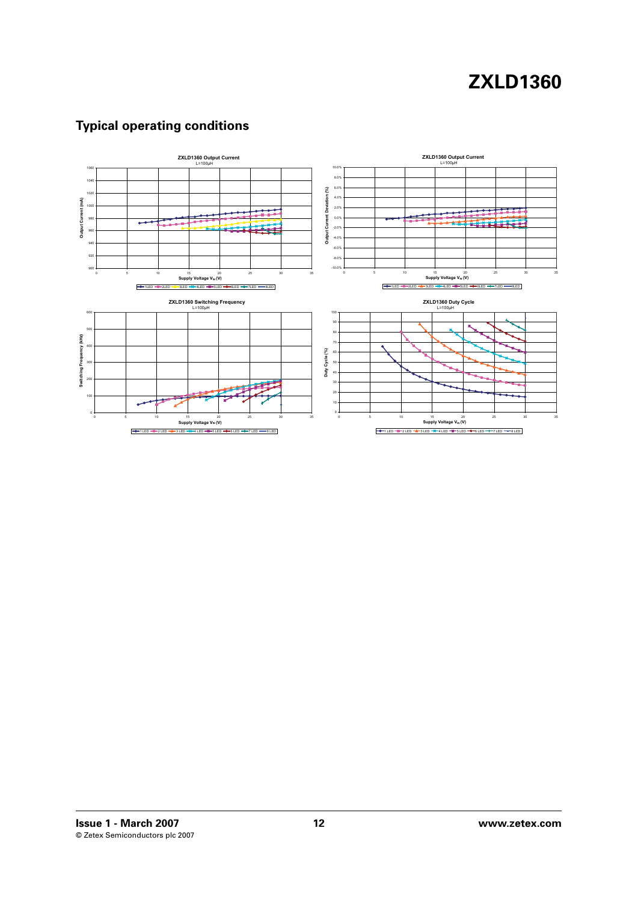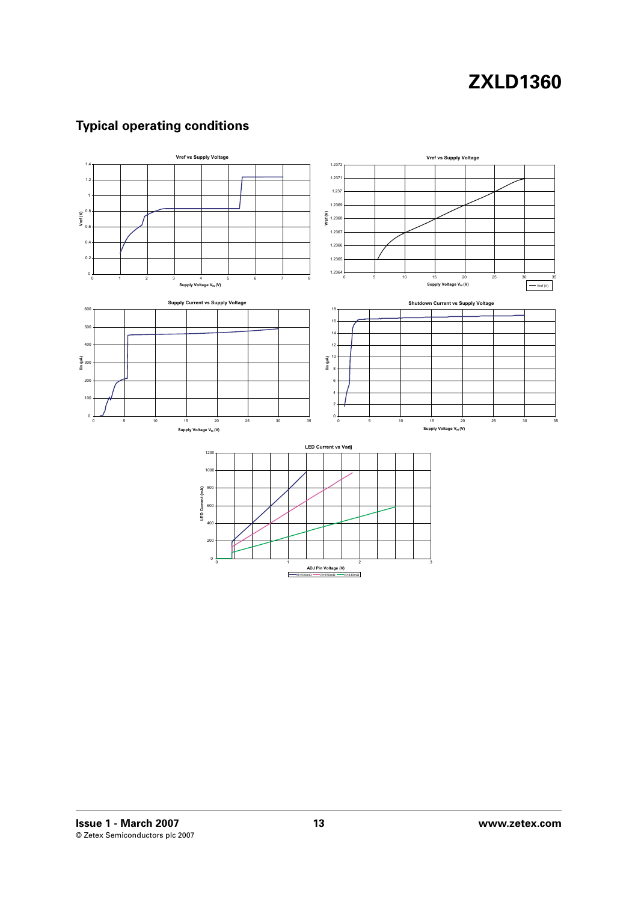#### **Vref vs Supply Voltage Vref vs Supply Voltage** 1.4 1.2372 1.2371 1.2 1.237 1 1.2369 0.8 **Vref (V)** ى<br>تو 1.2368<br>**>** 0.6 1.2367 0.4 1.236 0.2 1.2365  $\begin{smallmatrix}0\\0\\0\end{smallmatrix}$ 1.2364  $\overline{\phantom{0}}$   $\overline{\phantom{0}}$   $\overline{\phantom{0}}$   $\overline{\phantom{0}}$   $\overline{\phantom{0}}$   $\overline{\phantom{0}}$   $\overline{\phantom{0}}$   $\overline{\phantom{0}}$   $\overline{\phantom{0}}$   $\overline{\phantom{0}}$   $\overline{\phantom{0}}$   $\overline{\phantom{0}}$   $\overline{\phantom{0}}$   $\overline{\phantom{0}}$   $\overline{\phantom{0}}$   $\overline{\phantom{0}}$   $\overline{\phantom{0}}$   $\overline{\phantom{0}}$   $\overline{\$ 0 5 10 15 20 25 30 35<br>**Supply Voltage V<sub>IN</sub> (V)** <del>web vid</del> 012345678 **Supply Voltage VIN (V) Supply Current vs Supply Voltage Shutdown Current vs Supply Voltage** 600 18 16 500 14 400 12 10 **Iin (µA)** 300 **Iin (µA)** 8 200 6 4 100 2 0 0 0 5 10 15 20 25 30 35 0 5 10 15 20 25 30 35 Supply Voltage V<sub>N</sub> (V) Supply Voltage V<sub>N</sub> (V) **LED Current vs Vadj** 1200 100 LED Current (mA) 800 **LED Current (mA)** 600 400 <sub>20</sub> 0 1<br> **ADJ Pin Voltage (V)**<br>
R=100mΩ <sup>-----</sup>R=150mΩ <sup>--------R=330mΩ</sup> R=330mΩ R=330mΩ R=330mΩ R=330mΩ R=330mΩ R=330mΩ R=330mΩ R=330mΩ R=330mΩ R=330mΩ R=330mΩ R=330mΩ R=330mΩ R=330mΩ R=330mΩ R=330mΩ R=330mΩ R=330mΩ R=330mΩ R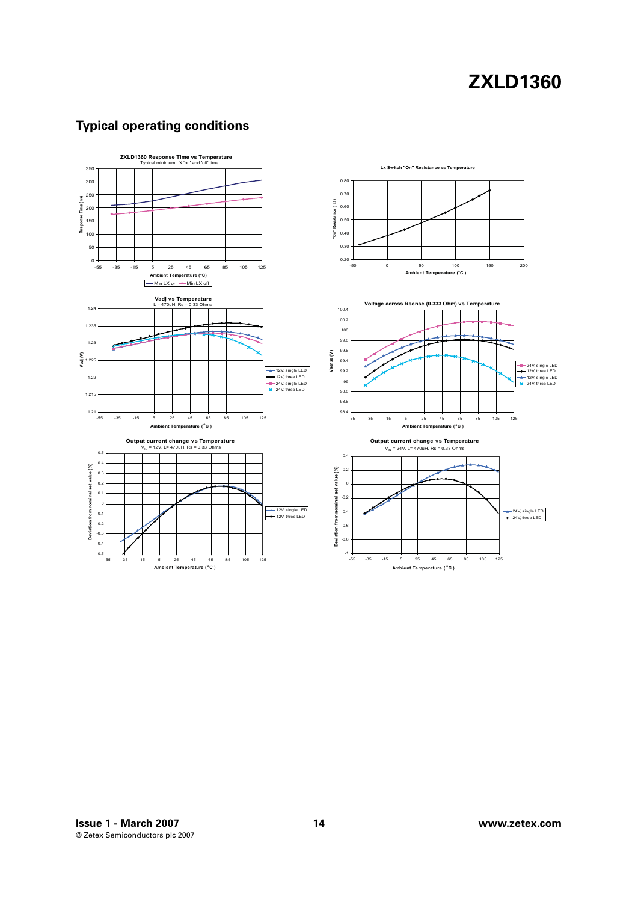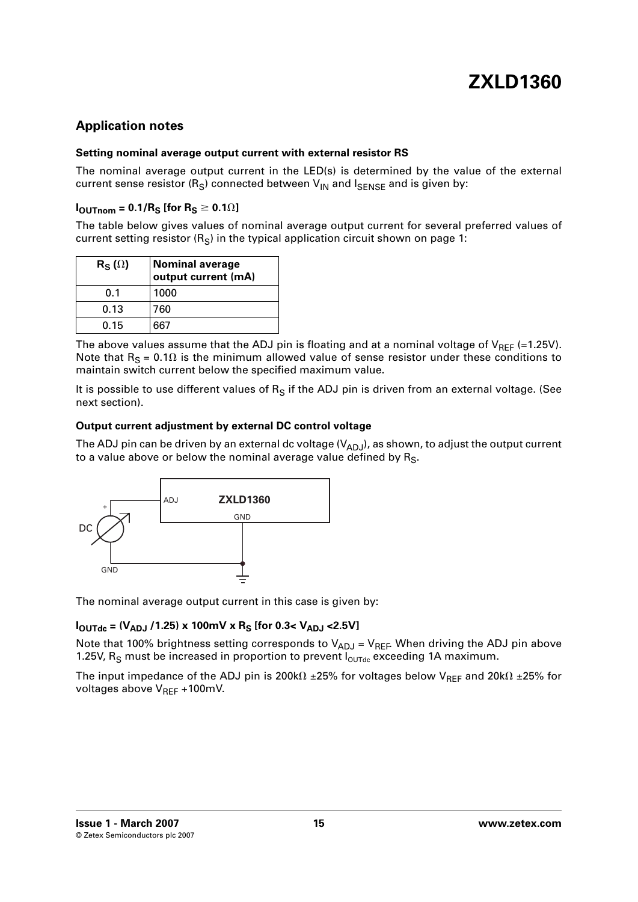### **Application notes**

#### **Setting nominal average output current with external resistor RS**

The nominal average output current in the LED(s) is determined by the value of the external current sense resistor ( $R_S$ ) connected between  $V_{IN}$  and  $I_{SENSE}$  and is given by:

### $\textbf{I}_{\text{OUTnom}}$  = 0.1/R<sub>S</sub> [for R<sub>S</sub>  $\geq$  0.1 $\Omega$ ]

The table below gives values of nominal average output current for several preferred values of current setting resistor  $(R<sub>S</sub>)$  in the typical application circuit shown on page 1:

| $R_S(\Omega)$ | <b>Nominal average</b><br>output current (mA) |
|---------------|-----------------------------------------------|
| 0.1           | 1000                                          |
| 0.13          | 760                                           |
| 0.15          | 667                                           |

The above values assume that the ADJ pin is floating and at a nominal voltage of  $V_{REF}$  (=1.25V). Note that R<sub>S</sub> = 0.1 $\Omega$  is the minimum allowed value of sense resistor under these conditions to maintain switch current below the specified maximum value.

It is possible to use different values of  $R_S$  if the ADJ pin is driven from an external voltage. (See next section).

#### **Output current adjustment by external DC control voltage**

The ADJ pin can be driven by an external dc voltage  $(V_{ADJ})$ , as shown, to adjust the output current to a value above or below the nominal average value defined by  $R_S$ .



The nominal average output current in this case is given by:

#### $I_{\text{OUTdc}} = (V_{ADJ} / 1.25) \times 100 \text{mV} \times R_S$  [for 0.3<  $V_{ADJ}$  <2.5V]

Note that 100% brightness setting corresponds to  $V_{ADJ} = V_{REF}$  When driving the ADJ pin above 1.25V,  $R_S$  must be increased in proportion to prevent  $I_{\text{OUTdc}}$  exceeding 1A maximum.

The input impedance of the ADJ pin is 200k $\Omega$  ±25% for voltages below V<sub>REF</sub> and 20k $\Omega$  ±25% for voltages above  $V_{RFF}$  +100mV.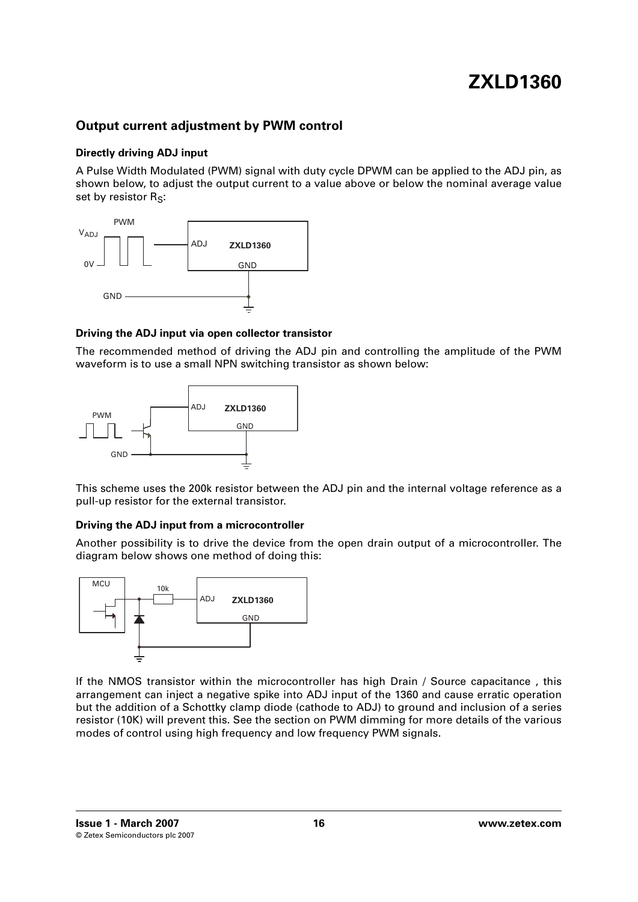### **Output current adjustment by PWM control**

#### **Directly driving ADJ input**

A Pulse Width Modulated (PWM) signal with duty cycle DPWM can be applied to the ADJ pin, as shown below, to adjust the output current to a value above or below the nominal average value set by resistor  $R<sub>S</sub>$ :



#### **Driving the ADJ input via open collector transistor**

The recommended method of driving the ADJ pin and controlling the amplitude of the PWM waveform is to use a small NPN switching transistor as shown below:



This scheme uses the 200k resistor between the ADJ pin and the internal voltage reference as a pull-up resistor for the external transistor.

#### **Driving the ADJ input from a microcontroller**

Another possibility is to drive the device from the open drain output of a microcontroller. The diagram below shows one method of doing this:



If the NMOS transistor within the microcontroller has high Drain / Source capacitance , this arrangement can inject a negative spike into ADJ input of the 1360 and cause erratic operation but the addition of a Schottky clamp diode (cathode to ADJ) to ground and inclusion of a series resistor (10K) will prevent this. See the section on PWM dimming for more details of the various modes of control using high frequency and low frequency PWM signals.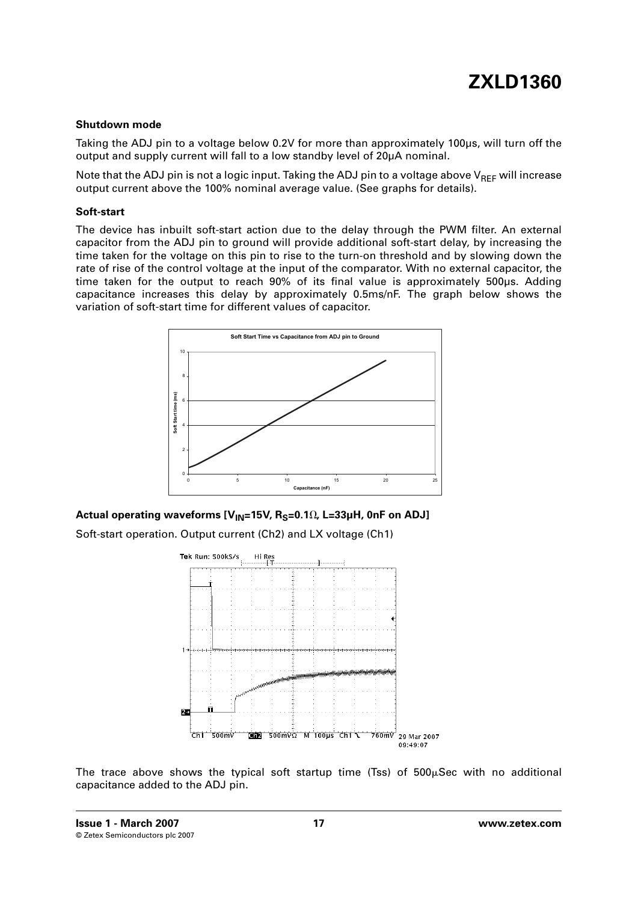#### **Shutdown mode**

Taking the ADJ pin to a voltage below 0.2V for more than approximately 100µs, will turn off the output and supply current will fall to a low standby level of 20µA nominal.

Note that the ADJ pin is not a logic input. Taking the ADJ pin to a voltage above  $V_{REF}$  will increase output current above the 100% nominal average value. (See graphs for details).

#### **Soft-start**

The device has inbuilt soft-start action due to the delay through the PWM filter. An external capacitor from the ADJ pin to ground will provide additional soft-start delay, by increasing the time taken for the voltage on this pin to rise to the turn-on threshold and by slowing down the rate of rise of the control voltage at the input of the comparator. With no external capacitor, the time taken for the output to reach 90% of its final value is approximately 500µs. Adding capacitance increases this delay by approximately 0.5ms/nF. The graph below shows the variation of soft-start time for different values of capacitor.



Actual operating waveforms [V<sub>IN</sub>=15V, R<sub>S</sub>=0.1Ω, L=33μH, 0nF on ADJ]

Soft-start operation. Output current (Ch2) and LX voltage (Ch1)



The trace above shows the typical soft startup time (Tss) of  $500\mu$ Sec with no additional capacitance added to the ADJ pin.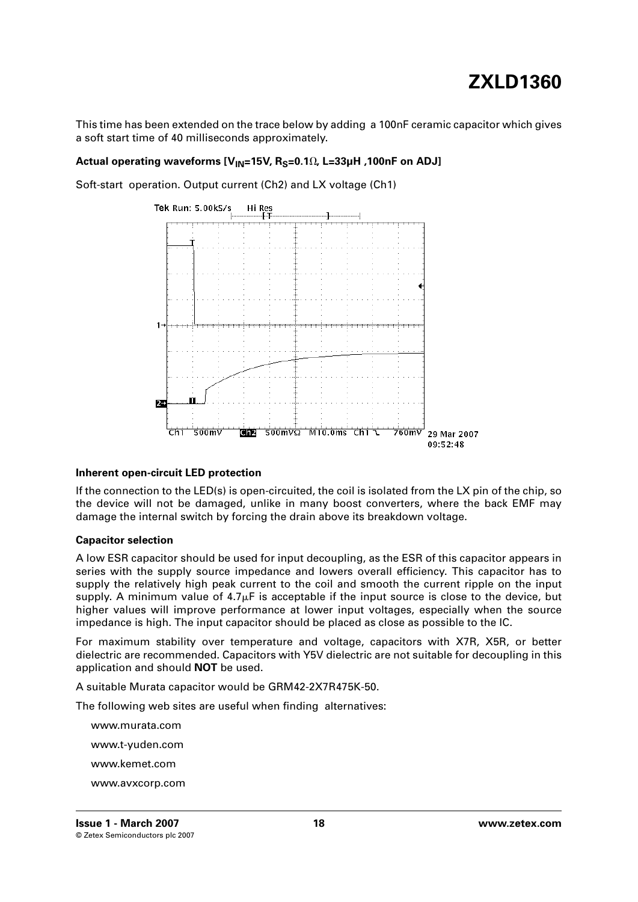This time has been extended on the trace below by adding a 100nF ceramic capacitor which gives a soft start time of 40 milliseconds approximately.

#### Rctual operating waveforms [V<sub>IN</sub>=15V, R<sub>S</sub>=0.1Ω, L=33μH ,100nF on ADJ]

Soft-start operation. Output current (Ch2) and LX voltage (Ch1)



#### **Inherent open-circuit LED protection**

If the connection to the LED(s) is open-circuited, the coil is isolated from the LX pin of the chip, so the device will not be damaged, unlike in many boost converters, where the back EMF may damage the internal switch by forcing the drain above its breakdown voltage.

#### **Capacitor selection**

A low ESR capacitor should be used for input decoupling, as the ESR of this capacitor appears in series with the supply source impedance and lowers overall efficiency. This capacitor has to supply the relatively high peak current to the coil and smooth the current ripple on the input supply. A minimum value of  $4.7\mu$ F is acceptable if the input source is close to the device, but higher values will improve performance at lower input voltages, especially when the source impedance is high. The input capacitor should be placed as close as possible to the IC.

For maximum stability over temperature and voltage, capacitors with X7R, X5R, or better dielectric are recommended. Capacitors with Y5V dielectric are not suitable for decoupling in this application and should **NOT** be used.

A suitable Murata capacitor would be GRM42-2X7R475K-50.

The following web sites are useful when finding alternatives:

www.murata.com www.t-yuden.com www.kemet.com www.avxcorp.com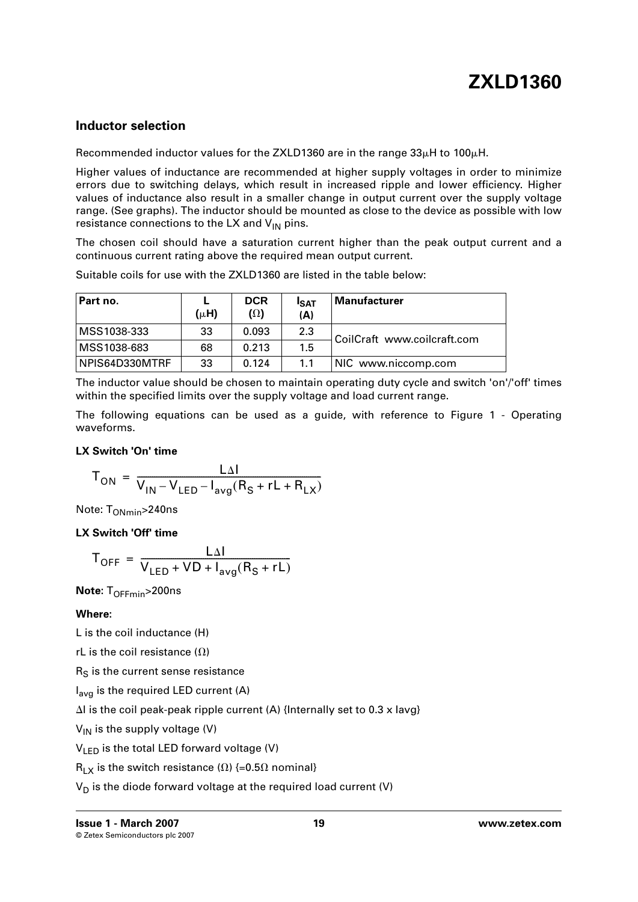### **Inductor selection**

Recommended inductor values for the ZXLD1360 are in the range  $33\mu$ H to  $100\mu$ H.

Higher values of inductance are recommended at higher supply voltages in order to minimize errors due to switching delays, which result in increased ripple and lower efficiency. Higher values of inductance also result in a smaller change in output current over the supply voltage range. (See graphs). The inductor should be mounted as close to the device as possible with low resistance connections to the LX and  $V_{IN}$  pins.

The chosen coil should have a saturation current higher than the peak output current and a continuous current rating above the required mean output current.

Suitable coils for use with the ZXLD1360 are listed in the table below:

| Part no.       | $(\mu H)$ | <b>DCR</b><br>$(\Omega)$ | I <sub>SAT</sub><br>(A) | <b>Manufacturer</b>         |
|----------------|-----------|--------------------------|-------------------------|-----------------------------|
| MSS1038-333    | 33        | 0.093                    | 2.3                     |                             |
| MSS1038-683    | 68        | 0.213                    | 1.5                     | CoilCraft www.coilcraft.com |
| NPIS64D330MTRF | 33        | 0.124                    | 1.1                     | NIC www.niccomp.com         |

The inductor value should be chosen to maintain operating duty cycle and switch 'on'/'off' times within the specified limits over the supply voltage and load current range.

The following equations can be used as a guide, with reference to Figure 1 - Operating waveforms.

#### **LX Switch 'On' time**

$$
T_{ON} = \frac{L\Delta I}{V_{IN} - V_{LED} - I_{avg}(R_S + rL + R_{LX})}
$$

Note:  $T_{OMmin} > 240$ ns

#### **LX Switch 'Off' time**

$$
T_{OFF} = \frac{L\Delta I}{V_{LED} + V D + I_{avg}(R_S + rL)}
$$

**Note:** T<sub>OFFmin</sub>>200ns

#### **Where:**

L is the coil inductance (H)

rL is the coil resistance ( $\Omega$ )

 $R<sub>S</sub>$  is the current sense resistance

 $I_{\text{ava}}$  is the required LED current (A)

 $\Delta$ I is the coil peak-peak ripple current (A) {Internally set to 0.3 x lavg}

 $V_{IN}$  is the supply voltage (V)

 $V_{\text{LED}}$  is the total LED forward voltage (V)

 $\mathsf{R}_{\mathsf{L}\mathsf{X}}$  is the switch resistance ( $\Omega$ ) {=0.5 $\Omega$  nominal}

 $V_D$  is the diode forward voltage at the required load current (V)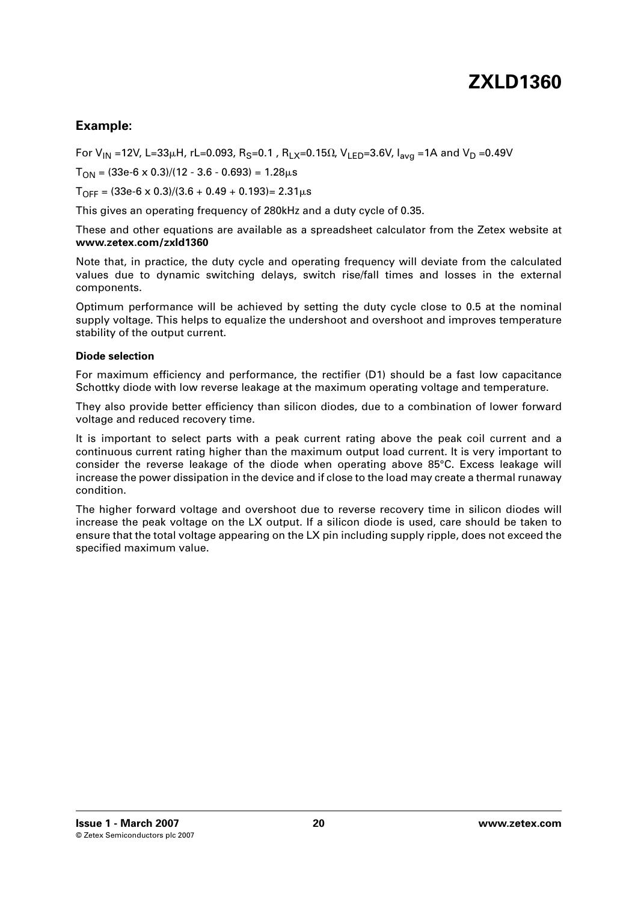### **Example:**

For V<sub>IN</sub> =12V, L=33 $\mu$ H, rL=0.093, R<sub>S</sub>=0.1 , R<sub>LX</sub>=0.15 $\Omega$ , V<sub>LED</sub>=3.6V, I<sub>avg</sub> =1A and V<sub>D</sub> =0.49V

 $T_{\text{ON}} = (33e-6 \times 0.3)/(12 - 3.6 - 0.693) = 1.28 \mu s$ 

 $T<sub>OFF</sub> = (33e-6 × 0.3)/(3.6 + 0.49 + 0.193) = 2.31 \mu s$ 

This gives an operating frequency of 280kHz and a duty cycle of 0.35.

These and other equations are available as a spreadsheet calculator from the Zetex website at **www.zetex.com/zxld1360**

Note that, in practice, the duty cycle and operating frequency will deviate from the calculated values due to dynamic switching delays, switch rise/fall times and losses in the external components.

Optimum performance will be achieved by setting the duty cycle close to 0.5 at the nominal supply voltage. This helps to equalize the undershoot and overshoot and improves temperature stability of the output current.

#### **Diode selection**

For maximum efficiency and performance, the rectifier (D1) should be a fast low capacitance Schottky diode with low reverse leakage at the maximum operating voltage and temperature.

They also provide better efficiency than silicon diodes, due to a combination of lower forward voltage and reduced recovery time.

It is important to select parts with a peak current rating above the peak coil current and a continuous current rating higher than the maximum output load current. It is very important to consider the reverse leakage of the diode when operating above 85°C. Excess leakage will increase the power dissipation in the device and if close to the load may create a thermal runaway condition.

The higher forward voltage and overshoot due to reverse recovery time in silicon diodes will increase the peak voltage on the LX output. If a silicon diode is used, care should be taken to ensure that the total voltage appearing on the LX pin including supply ripple, does not exceed the specified maximum value.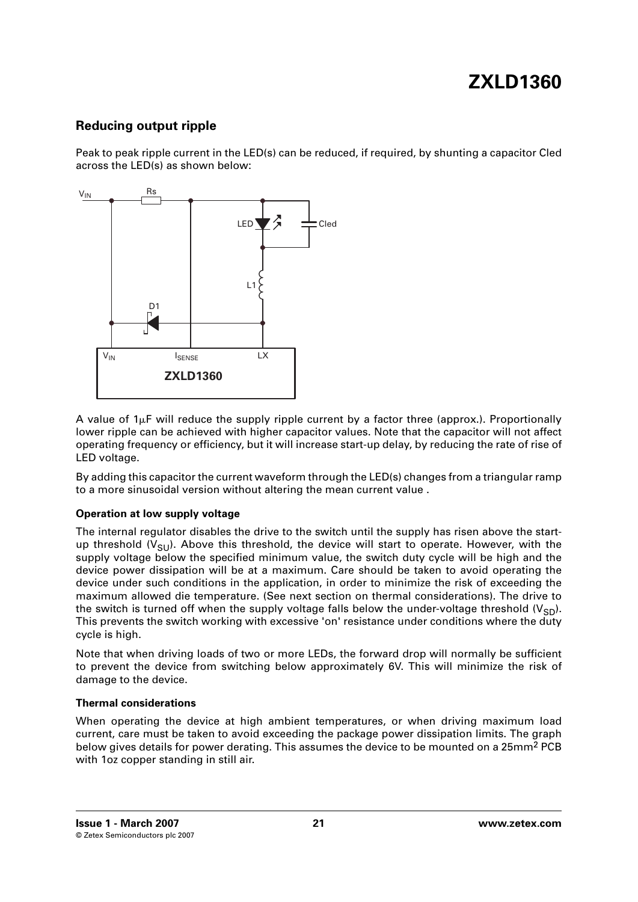### **Reducing output ripple**

Peak to peak ripple current in the LED(s) can be reduced, if required, by shunting a capacitor Cled across the LED(s) as shown below:



A value of  $1\mu$ F will reduce the supply ripple current by a factor three (approx.). Proportionally lower ripple can be achieved with higher capacitor values. Note that the capacitor will not affect operating frequency or efficiency, but it will increase start-up delay, by reducing the rate of rise of LED voltage.

By adding this capacitor the current waveform through the LED(s) changes from a triangular ramp to a more sinusoidal version without altering the mean current value .

#### **Operation at low supply voltage**

The internal regulator disables the drive to the switch until the supply has risen above the startup threshold  $(V_{\text{SI}})$ . Above this threshold, the device will start to operate. However, with the supply voltage below the specified minimum value, the switch duty cycle will be high and the device power dissipation will be at a maximum. Care should be taken to avoid operating the device under such conditions in the application, in order to minimize the risk of exceeding the maximum allowed die temperature. (See next section on thermal considerations). The drive to the switch is turned off when the supply voltage falls below the under-voltage threshold  $(V_{SD})$ . This prevents the switch working with excessive 'on' resistance under conditions where the duty cycle is high.

Note that when driving loads of two or more LEDs, the forward drop will normally be sufficient to prevent the device from switching below approximately 6V. This will minimize the risk of damage to the device.

#### **Thermal considerations**

When operating the device at high ambient temperatures, or when driving maximum load current, care must be taken to avoid exceeding the package power dissipation limits. The graph below gives details for power derating. This assumes the device to be mounted on a 25mm2 PCB with 1oz copper standing in still air.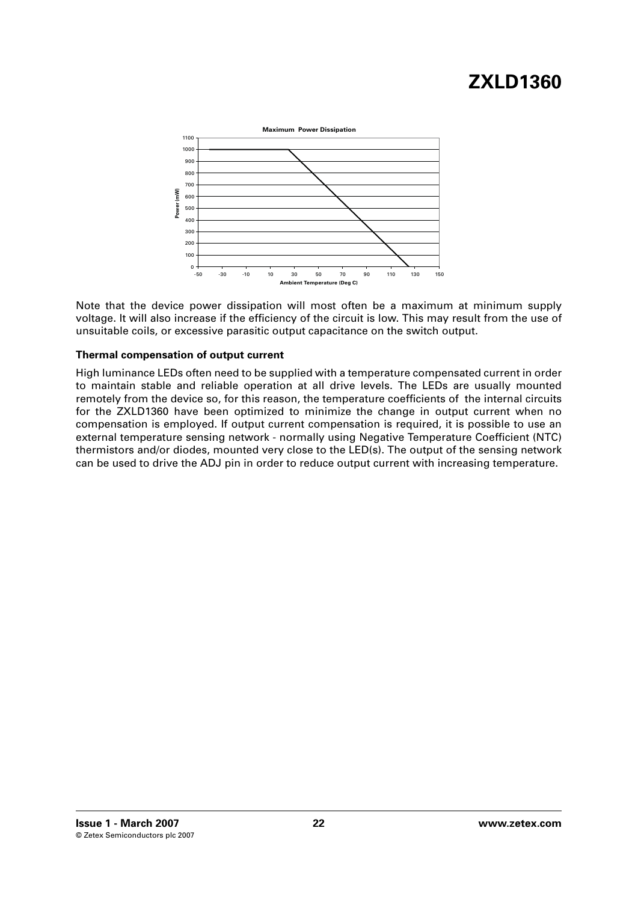

Note that the device power dissipation will most often be a maximum at minimum supply voltage. It will also increase if the efficiency of the circuit is low. This may result from the use of unsuitable coils, or excessive parasitic output capacitance on the switch output.

#### **Thermal compensation of output current**

High luminance LEDs often need to be supplied with a temperature compensated current in order to maintain stable and reliable operation at all drive levels. The LEDs are usually mounted remotely from the device so, for this reason, the temperature coefficients of the internal circuits for the ZXLD1360 have been optimized to minimize the change in output current when no compensation is employed. If output current compensation is required, it is possible to use an external temperature sensing network - normally using Negative Temperature Coefficient (NTC) thermistors and/or diodes, mounted very close to the LED(s). The output of the sensing network can be used to drive the ADJ pin in order to reduce output current with increasing temperature.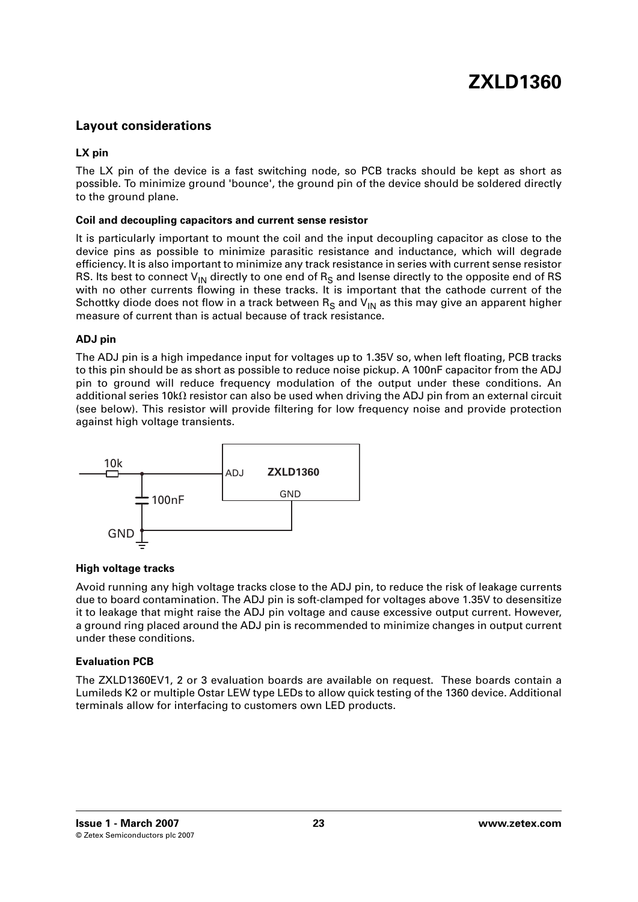### **Layout considerations**

#### **LX pin**

The LX pin of the device is a fast switching node, so PCB tracks should be kept as short as possible. To minimize ground 'bounce', the ground pin of the device should be soldered directly to the ground plane.

#### **Coil and decoupling capacitors and current sense resistor**

It is particularly important to mount the coil and the input decoupling capacitor as close to the device pins as possible to minimize parasitic resistance and inductance, which will degrade efficiency. It is also important to minimize any track resistance in series with current sense resistor RS. Its best to connect  $V_{IN}$  directly to one end of  $R_S$  and Isense directly to the opposite end of RS with no other currents flowing in these tracks. It is important that the cathode current of the Schottky diode does not flow in a track between  $R<sub>S</sub>$  and  $V<sub>IN</sub>$  as this may give an apparent higher measure of current than is actual because of track resistance.

#### **ADJ pin**

The ADJ pin is a high impedance input for voltages up to 1.35V so, when left floating, PCB tracks to this pin should be as short as possible to reduce noise pickup. A 100nF capacitor from the ADJ pin to ground will reduce frequency modulation of the output under these conditions. An additional series 10k $\Omega$  resistor can also be used when driving the ADJ pin from an external circuit (see below). This resistor will provide filtering for low frequency noise and provide protection against high voltage transients.



#### **High voltage tracks**

Avoid running any high voltage tracks close to the ADJ pin, to reduce the risk of leakage currents due to board contamination. The ADJ pin is soft-clamped for voltages above 1.35V to desensitize it to leakage that might raise the ADJ pin voltage and cause excessive output current. However, a ground ring placed around the ADJ pin is recommended to minimize changes in output current under these conditions.

#### **Evaluation PCB**

The ZXLD1360EV1, 2 or 3 evaluation boards are available on request. These boards contain a Lumileds K2 or multiple Ostar LEW type LEDs to allow quick testing of the 1360 device. Additional terminals allow for interfacing to customers own LED products.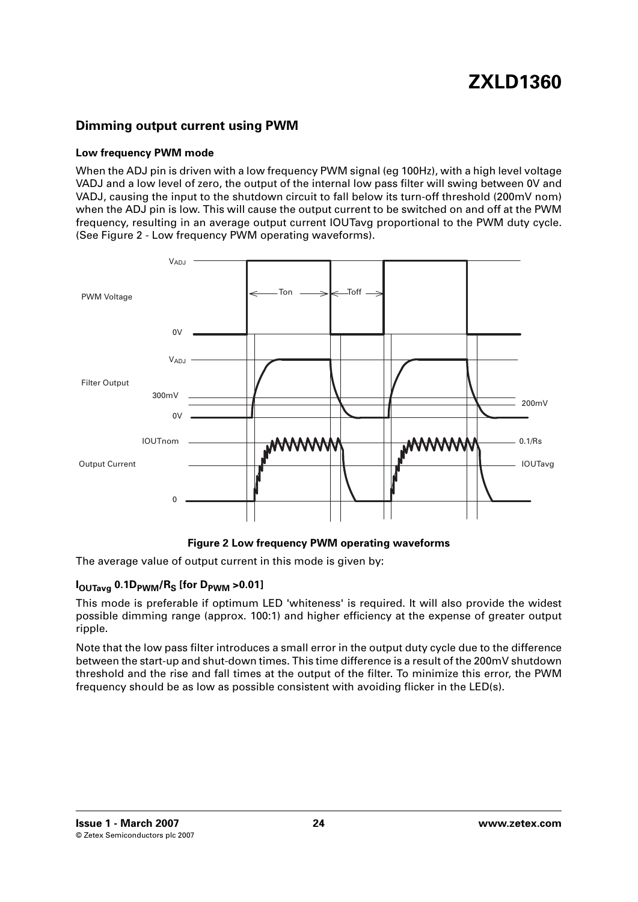### **Dimming output current using PWM**

#### **Low frequency PWM mode**

When the ADJ pin is driven with a low frequency PWM signal (eg 100Hz), with a high level voltage VADJ and a low level of zero, the output of the internal low pass filter will swing between 0V and VADJ, causing the input to the shutdown circuit to fall below its turn-off threshold (200mV nom) when the ADJ pin is low. This will cause the output current to be switched on and off at the PWM frequency, resulting in an average output current IOUTavg proportional to the PWM duty cycle. (See Figure 2 - Low frequency PWM operating waveforms).



#### **Figure 2 Low frequency PWM operating waveforms**

The average value of output current in this mode is given by:

#### **IOUTavg 0.1DPWM/R<sub>S</sub>** [for D<sub>PWM</sub> > 0.01]

This mode is preferable if optimum LED 'whiteness' is required. It will also provide the widest possible dimming range (approx. 100:1) and higher efficiency at the expense of greater output ripple.

Note that the low pass filter introduces a small error in the output duty cycle due to the difference between the start-up and shut-down times. This time difference is a result of the 200mV shutdown threshold and the rise and fall times at the output of the filter. To minimize this error, the PWM frequency should be as low as possible consistent with avoiding flicker in the LED(s).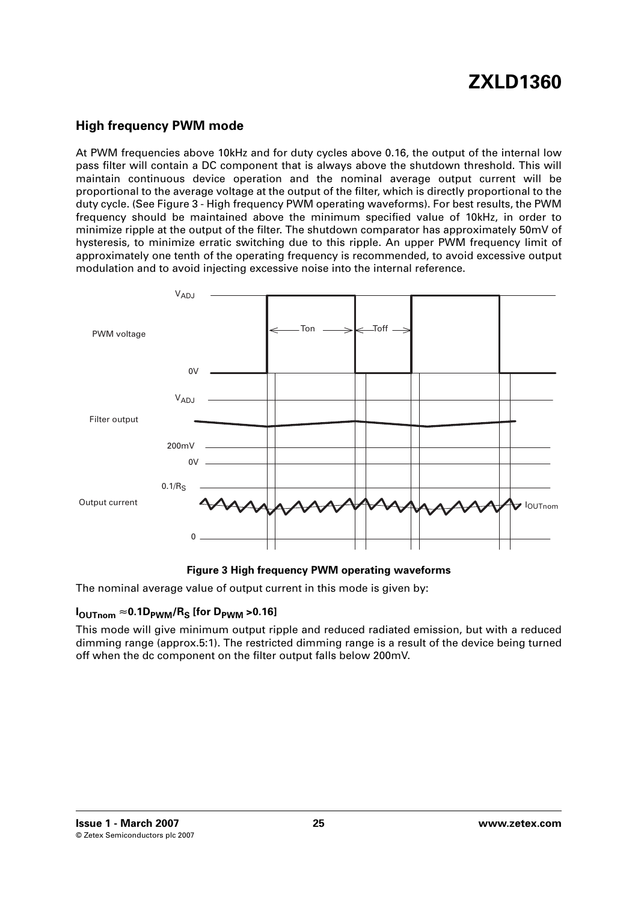### **High frequency PWM mode**

At PWM frequencies above 10kHz and for duty cycles above 0.16, the output of the internal low pass filter will contain a DC component that is always above the shutdown threshold. This will maintain continuous device operation and the nominal average output current will be proportional to the average voltage at the output of the filter, which is directly proportional to the duty cycle. (See Figure 3 - High frequency PWM operating waveforms). For best results, the PWM frequency should be maintained above the minimum specified value of 10kHz, in order to minimize ripple at the output of the filter. The shutdown comparator has approximately 50mV of hysteresis, to minimize erratic switching due to this ripple. An upper PWM frequency limit of approximately one tenth of the operating frequency is recommended, to avoid excessive output modulation and to avoid injecting excessive noise into the internal reference.



#### **Figure 3 High frequency PWM operating waveforms**

The nominal average value of output current in this mode is given by:

### $I_{\text{OUTnom}} \approx 0.1D_{\text{PWM}}/R_{\text{S}}$  [for  $D_{\text{PWM}} > 0.16$ ]

This mode will give minimum output ripple and reduced radiated emission, but with a reduced dimming range (approx.5:1). The restricted dimming range is a result of the device being turned off when the dc component on the filter output falls below 200mV.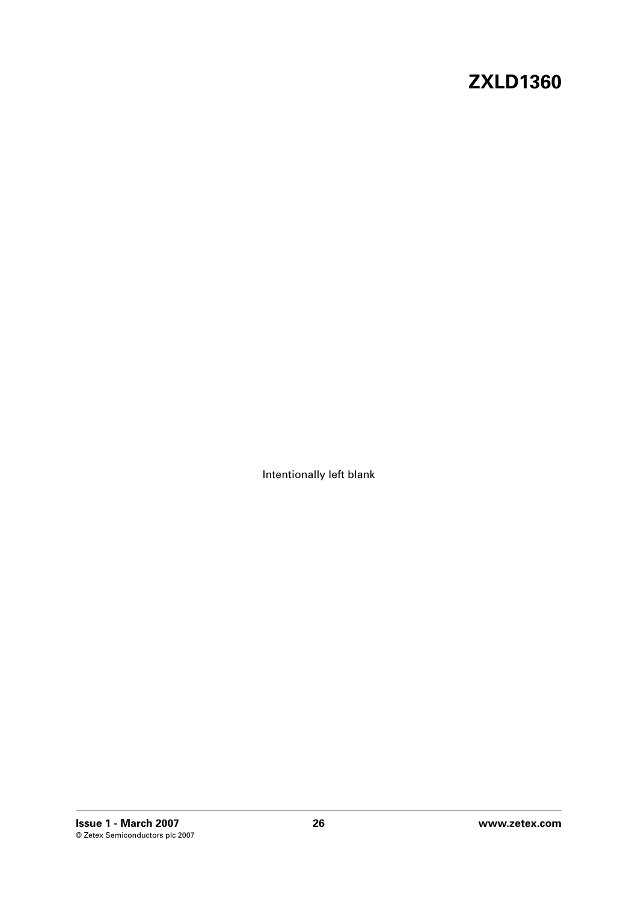Intentionally left blank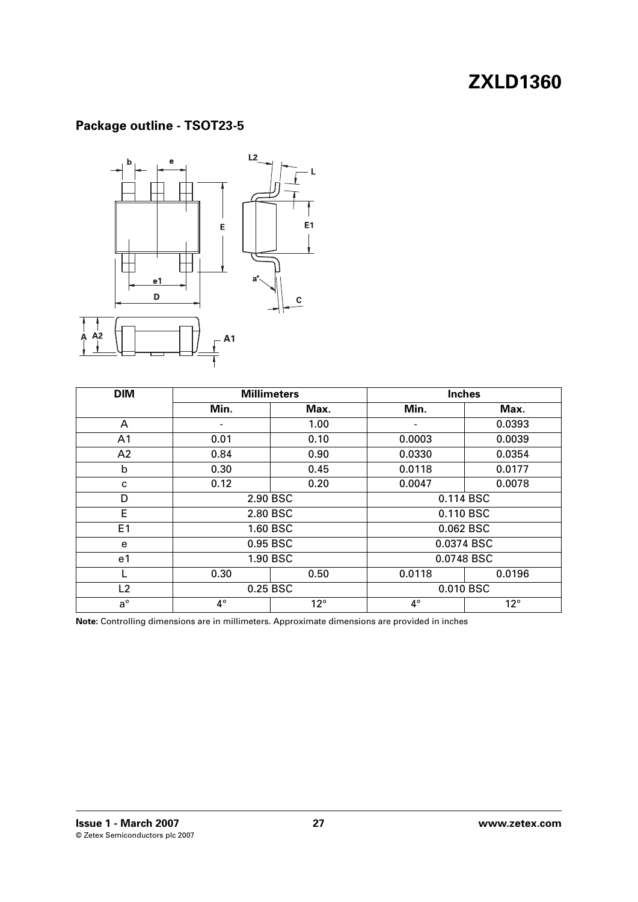### **Package outline - TSOT23-5**



| <b>DIM</b>     | <b>Millimeters</b> |              | <b>Inches</b> |              |
|----------------|--------------------|--------------|---------------|--------------|
|                | Min.               | Max.         | Min.          | Max.         |
| A              | -                  | 1.00         | -             | 0.0393       |
| A <sub>1</sub> | 0.01               | 0.10         | 0.0003        | 0.0039       |
| A2             | 0.84               | 0.90         | 0.0330        | 0.0354       |
| b              | 0.30               | 0.45         | 0.0118        | 0.0177       |
| C              | 0.12               | 0.20         | 0.0047        | 0.0078       |
| D              | 2.90 BSC           |              | 0.114 BSC     |              |
| E              | 2.80 BSC           |              | 0.110 BSC     |              |
| E1             | 1.60 BSC           |              | 0.062 BSC     |              |
| e              | 0.95 BSC           |              | 0.0374 BSC    |              |
| e <sub>1</sub> | 1.90 BSC           |              | 0.0748 BSC    |              |
|                | 0.30               | 0.50         | 0.0118        | 0.0196       |
| L2             | 0.25 BSC           |              | 0.010 BSC     |              |
| $a^{\circ}$    | $4^\circ$          | $12^{\circ}$ | $4^{\circ}$   | $12^{\circ}$ |

**Note:** Controlling dimensions are in millimeters. Approximate dimensions are provided in inches